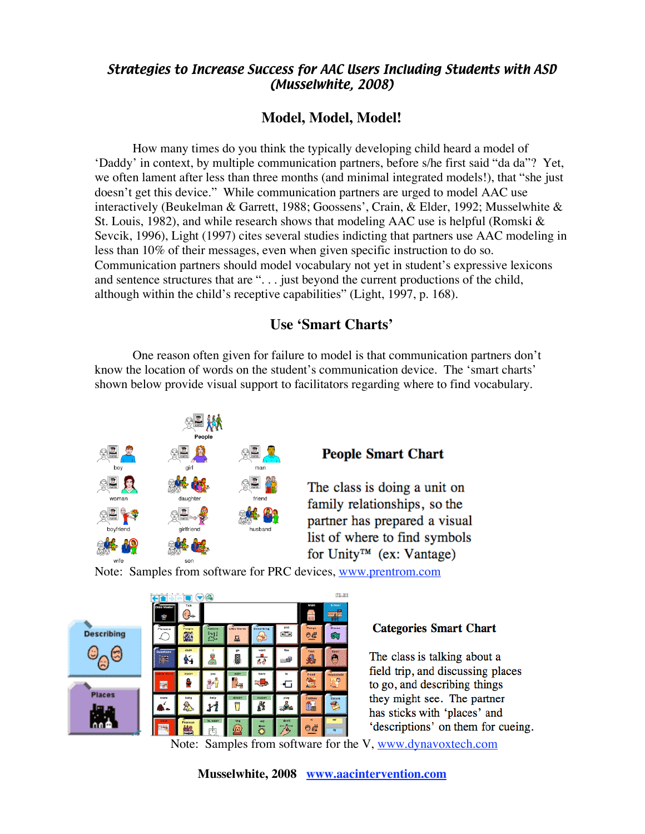#### *Strategies to Increase Success for AAC Users Including Students with ASD (Musselwhite, 2008)*

### **Model, Model, Model!**

How many times do you think the typically developing child heard a model of 'Daddy' in context, by multiple communication partners, before s/he first said "da da"? Yet, we often lament after less than three months (and minimal integrated models!), that "she just doesn't get this device." While communication partners are urged to model AAC use interactively (Beukelman & Garrett, 1988; Goossens', Crain, & Elder, 1992; Musselwhite & St. Louis, 1982), and while research shows that modeling AAC use is helpful (Romski  $\&$ Sevcik, 1996), Light (1997) cites several studies indicting that partners use AAC modeling in less than 10% of their messages, even when given specific instruction to do so. Communication partners should model vocabulary not yet in student's expressive lexicons and sentence structures that are "... just beyond the current productions of the child, although within the child's receptive capabilities" (Light, 1997, p. 168).

#### **Use 'Smart Charts'**

One reason often given for failure to model is that communication partners don't know the location of words on the student's communication device. The 'smart charts' shown below provide visual support to facilitators regarding where to find vocabulary.



#### **People Smart Chart**

The class is doing a unit on family relationships, so the partner has prepared a visual list of where to find symbols

Note: Samples from software for PRC devices, www.prentrom.com



#### **Categories Smart Chart**

The class is talking about a field trip, and discussing places to go, and describing things they might see. The partner has sticks with 'places' and

Note: Samples from software for the V, www.dynavoxtech.com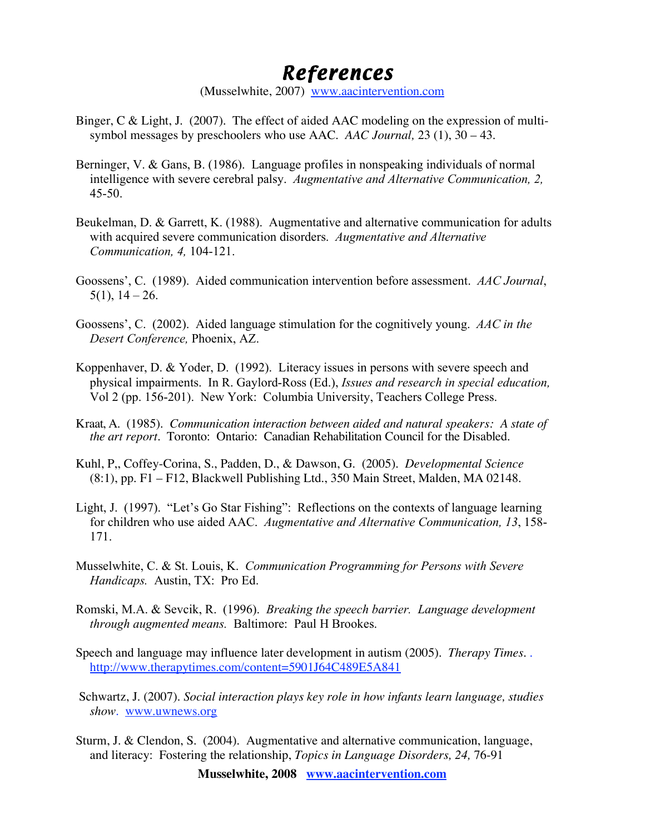## *References*

(Musselwhite, 2007) www.aacintervention.com

- Binger, C & Light, J. (2007). The effect of aided AAC modeling on the expression of multisymbol messages by preschoolers who use AAC. *AAC Journal,* 23 (1), 30 – 43.
- Berninger, V. & Gans, B. (1986). Language profiles in nonspeaking individuals of normal intelligence with severe cerebral palsy. *Augmentative and Alternative Communication, 2,*  45-50.
- Beukelman, D. & Garrett, K. (1988). Augmentative and alternative communication for adults with acquired severe communication disorders. *Augmentative and Alternative Communication, 4,* 104-121.
- Goossens', C. (1989). Aided communication intervention before assessment. *AAC Journal*,  $5(1)$ ,  $14-26$ .
- Goossens', C. (2002). Aided language stimulation for the cognitively young. *AAC in the Desert Conference,* Phoenix, AZ.
- Koppenhaver, D. & Yoder, D. (1992). Literacy issues in persons with severe speech and physical impairments. In R. Gaylord-Ross (Ed.), *Issues and research in special education,*  Vol 2 (pp. 156-201). New York: Columbia University, Teachers College Press.
- Kraat, A. (1985). *Communication interaction between aided and natural speakers: A state of the art report.* Toronto: Ontario: Canadian Rehabilitation Council for the Disabled.
- Kuhl, P,, Coffey-Corina, S., Padden, D., & Dawson, G. (2005). *Developmental Science* (8:1), pp. F1 – F12, Blackwell Publishing Ltd., 350 Main Street, Malden, MA 02148.
- Light, J. (1997). "Let's Go Star Fishing": Reflections on the contexts of language learning for children who use aided AAC. *Augmentative and Alternative Communication, 13*, 158- 171.
- Musselwhite, C. & St. Louis, K. *Communication Programming for Persons with Severe Handicaps.* Austin, TX: Pro Ed.
- Romski, M.A. & Sevcik, R. (1996). *Breaking the speech barrier. Language development through augmented means.* Baltimore: Paul H Brookes.
- Speech and language may influence later development in autism (2005). *Therapy Times.* . http://www.therapytimes.com/content=5901J64C489E5A841
- Schwartz, J. (2007). *Social interaction plays key role in how infants learn language, studies show.* www.uwnews.org
- Sturm, J. & Clendon, S. (2004). Augmentative and alternative communication, language, and literacy: Fostering the relationship, *Topics in Language Disorders, 24,* 76-91

**Musselwhite, 2008 www.aacintervention.com**